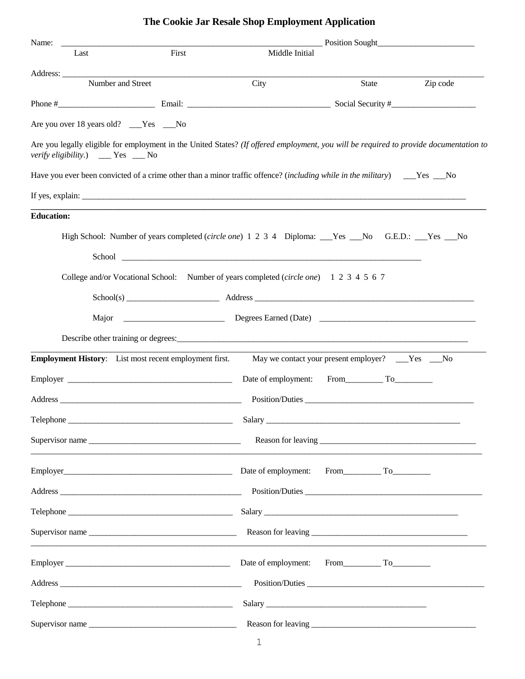## **The Cookie Jar Resale Shop Employment Application**

| Name:                                                                                                                                                                                                                                | Position Sought |                 |          |  |
|--------------------------------------------------------------------------------------------------------------------------------------------------------------------------------------------------------------------------------------|-----------------|-----------------|----------|--|
| First<br>Last                                                                                                                                                                                                                        | Middle Initial  |                 |          |  |
|                                                                                                                                                                                                                                      |                 |                 |          |  |
| Number and Street                                                                                                                                                                                                                    | City            | State           | Zip code |  |
|                                                                                                                                                                                                                                      |                 |                 |          |  |
| Are you over 18 years old? ___Yes ___No                                                                                                                                                                                              |                 |                 |          |  |
| Are you legally eligible for employment in the United States? (If offered employment, you will be required to provide documentation to<br><i>verify eligibility.</i> ) ___ Yes __ No                                                 |                 |                 |          |  |
|                                                                                                                                                                                                                                      |                 |                 |          |  |
|                                                                                                                                                                                                                                      |                 |                 |          |  |
| <b>Education:</b>                                                                                                                                                                                                                    |                 |                 |          |  |
| High School: Number of years completed (circle one) 1 2 3 4 Diploma: Nes No G.E.D.: No Sec.D.: No                                                                                                                                    |                 |                 |          |  |
|                                                                                                                                                                                                                                      |                 |                 |          |  |
| School <u>example and the set of the set of the set of the set of the set of the set of the set of the set of the set of the set of the set of the set of the set of the set of the set of the set of the set of the set of the </u> |                 |                 |          |  |
| College and/or Vocational School: Number of years completed (circle one) 1 2 3 4 5 6 7                                                                                                                                               |                 |                 |          |  |
| School(s) Address Address Address Address Address Address Address Address Address Address Address Address Address Address Address Address Address Address Address Address Address Address Address Address Address Address Addr       |                 |                 |          |  |
|                                                                                                                                                                                                                                      |                 |                 |          |  |
|                                                                                                                                                                                                                                      |                 |                 |          |  |
| <b>Employment History:</b> List most recent employment first. May we contact your present employer? ___Yes ___No                                                                                                                     |                 |                 |          |  |
| Employer                                                                                                                                                                                                                             |                 |                 |          |  |
|                                                                                                                                                                                                                                      |                 |                 |          |  |
|                                                                                                                                                                                                                                      |                 | Position/Duties |          |  |
|                                                                                                                                                                                                                                      |                 | Salary          |          |  |
| Supervisor name                                                                                                                                                                                                                      |                 |                 |          |  |
| Employer International Contract Contract Contract Contract Contract Contract Contract Contract Contract Contract Contract Contract Contract Contract Contract Contract Contract Contract Contract Contract Contract Contract C       |                 |                 |          |  |
|                                                                                                                                                                                                                                      |                 |                 |          |  |
|                                                                                                                                                                                                                                      |                 |                 |          |  |
|                                                                                                                                                                                                                                      |                 |                 |          |  |
|                                                                                                                                                                                                                                      |                 |                 |          |  |
|                                                                                                                                                                                                                                      |                 | Position/Duties |          |  |
|                                                                                                                                                                                                                                      |                 |                 |          |  |
| Supervisor name                                                                                                                                                                                                                      |                 |                 |          |  |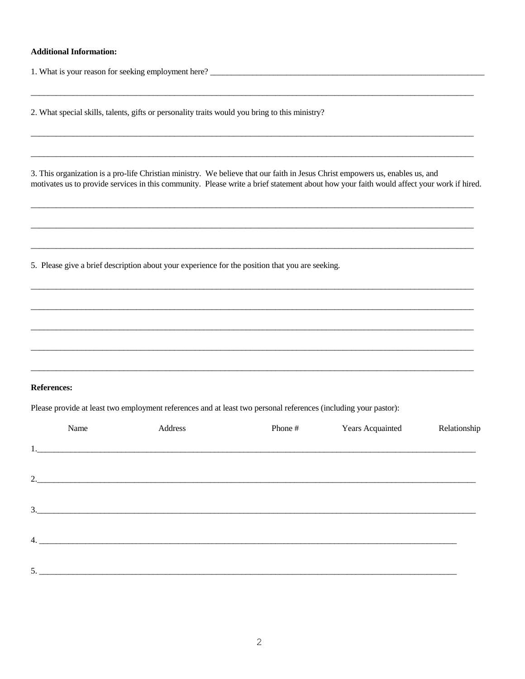## **Additional Information:**

2. What special skills, talents, gifts or personality traits would you bring to this ministry?

3. This organization is a pro-life Christian ministry. We believe that our faith in Jesus Christ empowers us, enables us, and motivates us to provide services in this community. Please write a brief statement about how your faith would affect your work if hired.

5. Please give a brief description about your experience for the position that you are seeking.

## **References:**

Please provide at least two employment references and at least two personal references (including your pastor):

|    | Name | Address           | Phone # | <b>Years Acquainted</b> | Relationship |
|----|------|-------------------|---------|-------------------------|--------------|
|    |      |                   |         |                         |              |
|    |      | 2. $\blacksquare$ |         |                         |              |
| 3. |      |                   |         |                         |              |
|    |      |                   |         |                         |              |
|    |      | 4.                |         |                         |              |
| 5. |      |                   |         |                         |              |